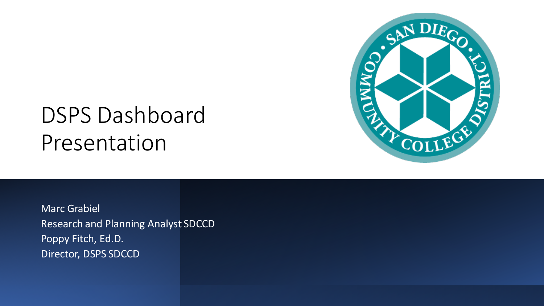



Marc Grabiel Research and Planning Analyst SDCCD Poppy Fitch, Ed.D. Director, DSPS SDCCD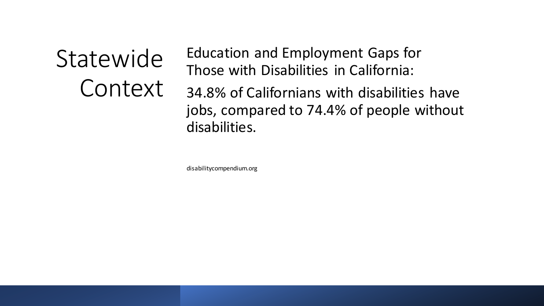**Statewide** Context Education and Employment Gaps for Those with Disabilities in California:

34.8% of Californians with disabilities have jobs, compared to 74.4% of people without disabilities.

disabilitycompendium.org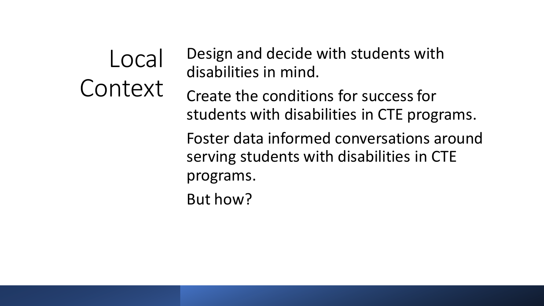Local Context Design and decide with students with disabilities in mind. Create the conditions for success for students with disabilities in CTE programs. Foster data informed conversations around serving students with disabilities in CTE programs. But how?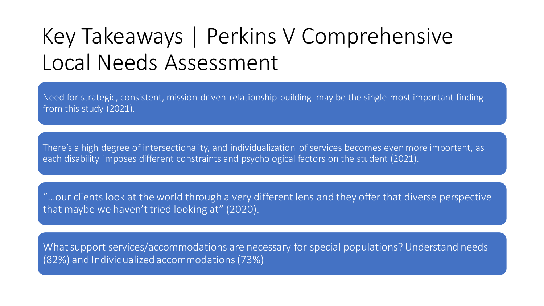# Key Takeaways | Perkins V Comprehensive Local Needs Assessment

Need for strategic, consistent, mission-driven relationship-building may be the single most important finding from this study (2021).

There's a high degree of intersectionality, and individualization of services becomes even more important, as each disability imposes different constraints and psychological factors on the student (2021).

"…our clients look at the world through a very different lens and they offer that diverse perspective that maybe we haven't tried looking at" (2020).

What support services/accommodations are necessary for special populations? Understand needs (82%) and Individualized accommodations (73%)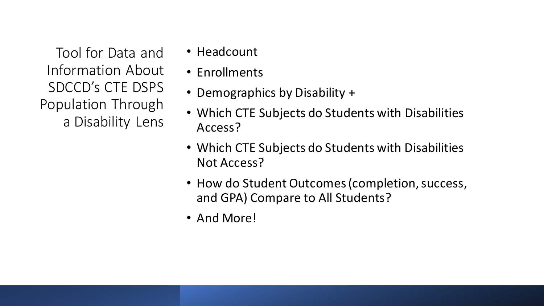Tool for Data and Information About SDCCD's CTE DSPS Population Through a Disability Lens

- Headcount
- Enrollments
- Demographics by Disability +
- Which CTE Subjects do Students with Disabilities Access?
- Which CTE Subjects do Students with Disabilities Not Access?
- How do Student Outcomes (completion, success, and GPA) Compare to All Students?
- And More!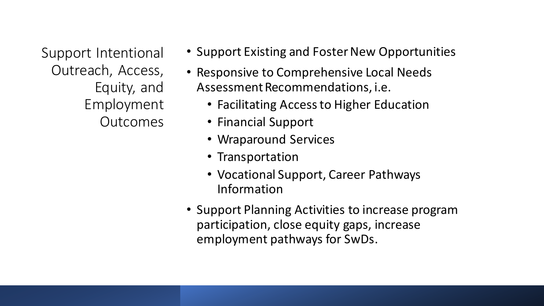Support Intentional Outreach, Access, Equity, and Employment **Outcomes** 

- Support Existing and Foster New Opportunities
- Responsive to Comprehensive Local Needs Assessment Recommendations, i.e.
	- Facilitating Access to Higher Education
	- Financial Support
	- Wraparound Services
	- Transportation
	- Vocational Support, Career Pathways Information
- Support Planning Activities to increase program participation, close equity gaps, increase employment pathways for SwDs.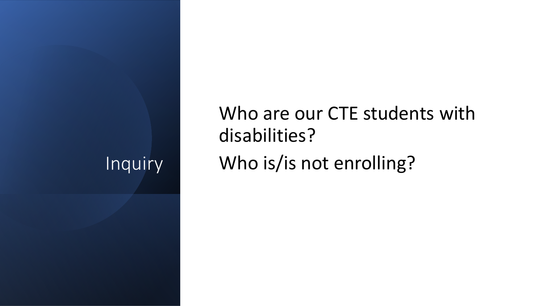#### Inquiry

Who are our CTE students with disabilities? Who is/is not enrolling?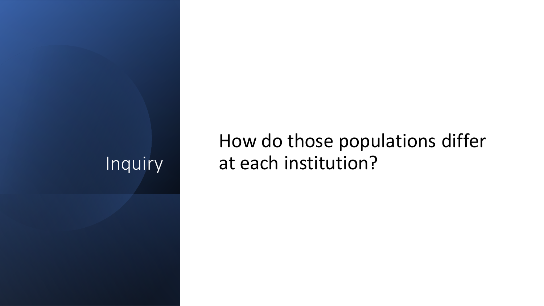### Inquiry

## How do those populations differ at each institution?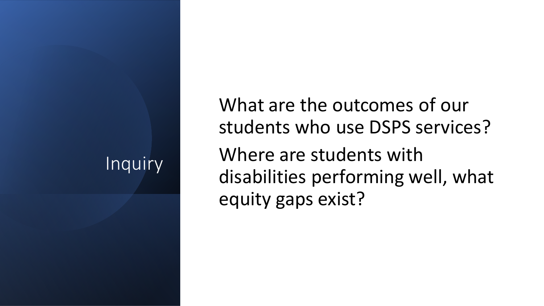### Inquiry

What are the outcomes of our students who use DSPS services? Where are students with disabilities performing well, what equity gaps exist?